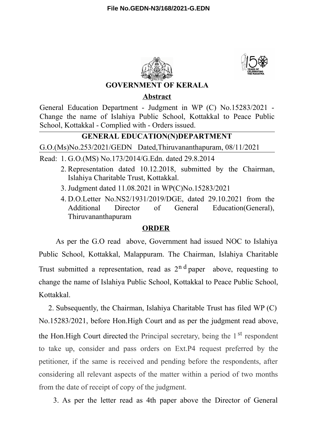



**GOVERNMENT OF KERALA**

## **Abstract**

General Education Department - Judgment in WP (C) No.15283/2021 - Change the name of Islahiya Public School, Kottakkal to Peace Public School, Kottakkal - Complied with - Orders issued.

## **GENERAL EDUCATION(N)DEPARTMENT**

G.O.(Ms)No.253/2021/GEDN Dated,Thiruvananthapuram, 08/11/2021

Read: 1. G.O.(MS) No.173/2014/G.Edn. dated 29.8.2014

- 2. Representation dated 10.12.2018, submitted by the Chairman, Islahiya Charitable Trust, Kottakkal.
- 3. Judgment dated 11.08.2021 in WP(C)No.15283/2021
- 4. D.O.Letter No.NS2/1931/2019/DGE, dated 29.10.2021 from the Additional Director of General Education(General), Thiruvananthapuram

## **ORDER**

As per the G.O read above, Government had issued NOC to Islahiya Public School, Kottakkal, Malappuram. The Chairman, Islahiya Charitable Trust submitted a representation, read as  $2<sup>n d</sup>$  paper above, requesting to change the name of Islahiya Public School, Kottakkal to Peace Public School, Kottakkal.

2. Subsequently, the Chairman, Islahiya Charitable Trust has filed WP (C) No.15283/2021, before Hon.High Court and as per the judgment read above, the Hon. High Court directed the Principal secretary, being the  $1<sup>st</sup>$  respondent to take up, consider and pass orders on Ext.P4 request preferred by the petitioner, if the same is received and pending before the respondents, after considering all relevant aspects of the matter within a period of two months from the date of receipt of copy of the judgment.

3. As per the letter read as 4th paper above the Director of General